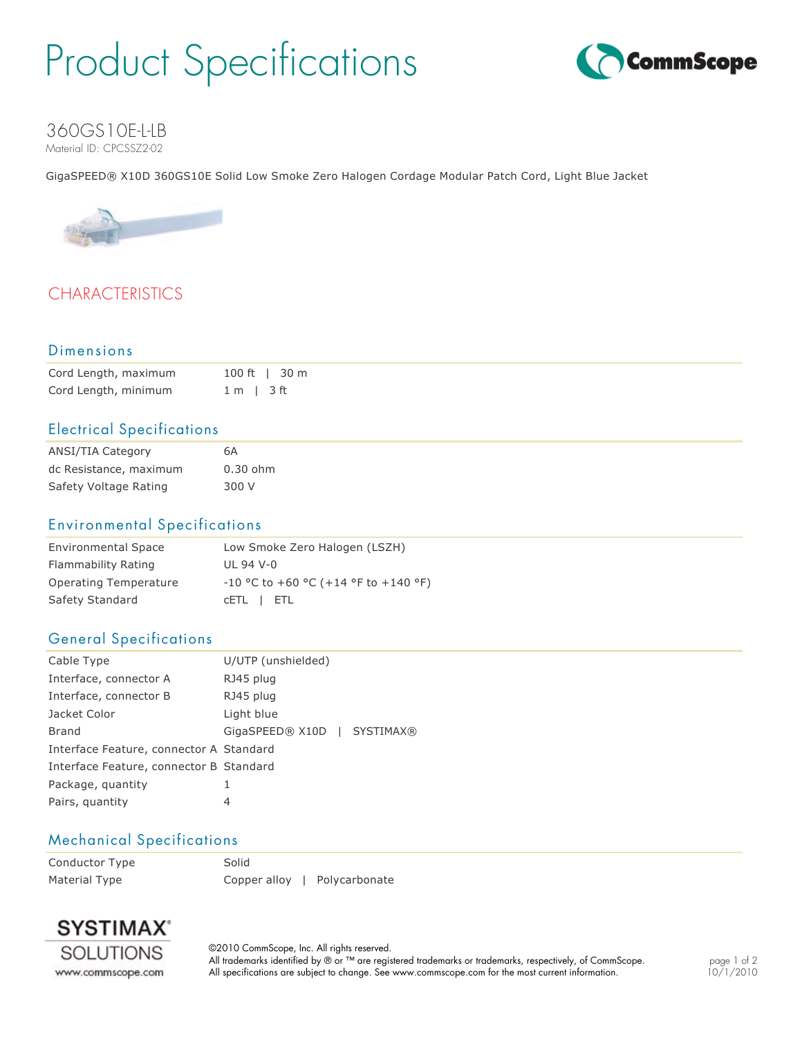## Product Specifications



#### 360GS10E-L-LB Material ID: CPCSSZ2-02

GigaSPEED® X10D 360GS10E Solid Low Smoke Zero Halogen Cordage Modular Patch Cord, Light Blue Jacket



## **CHARACTERISTICS**

#### Dimensions

| Cord Length, maximum | 100 ft   30 m  |
|----------------------|----------------|
| Cord Length, minimum | $1 m$   $3 ft$ |

#### Electrical Specifications

| ANSI/TIA Category      | 6А         |
|------------------------|------------|
| dc Resistance, maximum | $0.30$ ohm |
| Safety Voltage Rating  | 300 V      |

#### Environmental Specifications

| <b>Environmental Space</b> | Low Smoke Zero Halogen (LSZH)          |
|----------------------------|----------------------------------------|
| Flammability Rating        | $III$ 94 V-0                           |
| Operating Temperature      | $-10$ °C to +60 °C (+14 °F to +140 °F) |
| Safety Standard            | CETL I ETL                             |

#### General Specifications

| Cable Type                              | U/UTP (unshielded)          |  |  |
|-----------------------------------------|-----------------------------|--|--|
| Interface, connector A                  | RJ45 plug                   |  |  |
| Interface, connector B                  | RJ45 plug                   |  |  |
| Jacket Color                            | Light blue                  |  |  |
| Brand                                   | GigaSPEED® X10D   SYSTIMAX® |  |  |
| Interface Feature, connector A Standard |                             |  |  |
| Interface Feature, connector B Standard |                             |  |  |
| Package, quantity                       | 1                           |  |  |
| Pairs, quantity                         | 4                           |  |  |

#### Mechanical Specifications

Conductor Type Solid Material Type **Copper alloy | Polycarbonate** 



©2010 CommScope, Inc. All rights reserved. All trademarks identified by ® or ™ are registered trademarks or trademarks, respectively, of CommScope. All specifications are subject to change. See www.commscope.com for the most current information.